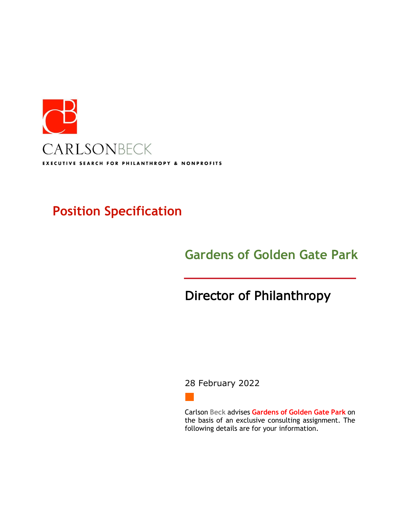

# **Position Specification**

# **Gardens of Golden Gate Park**

# Director of Philanthropy

## 28 February 2022

Carlson **Beck** advises **Gardens of Golden Gate Park** on the basis of an exclusive consulting assignment. The following details are for your information.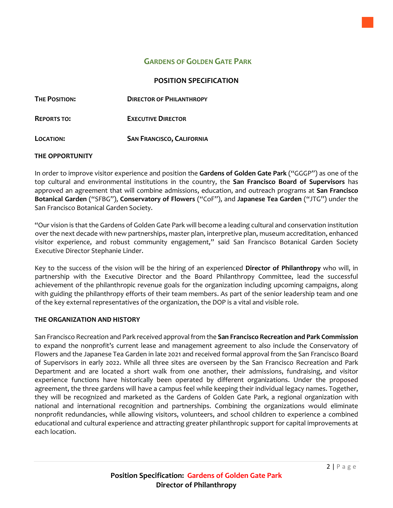## **GARDENS OF GOLDEN GATE PARK**

### **POSITION SPECIFICATION**

| <b>THE POSITION:</b> | <b>DIRECTOR OF PHILANTHROPY</b>  |
|----------------------|----------------------------------|
| <b>REPORTS TO:</b>   | <b>EXECUTIVE DIRECTOR</b>        |
| LOCATION:            | <b>SAN FRANCISCO, CALIFORNIA</b> |

#### **THE OPPORTUNITY**

In order to improve visitor experience and position the **Gardens of Golden Gate Park** ("GGGP") as one of the top cultural and environmental institutions in the country, the **San Francisco Board of Supervisors** has approved an agreement that will combine admissions, education, and outreach programs at **San Francisco Botanical Garden** ("SFBG"), **Conservatory of Flowers** ("CoF"), and **Japanese Tea Garden** ("JTG") under the San Francisco Botanical Garden Society.

"Our vision is that the Gardens of Golden Gate Park will become a leading cultural and conservation institution over the next decade with new partnerships, master plan, interpretive plan, museum accreditation, enhanced visitor experience, and robust community engagement," said San Francisco Botanical Garden Society Executive Director Stephanie Linder.

Key to the success of the vision will be the hiring of an experienced **Director of Philanthropy** who will, in partnership with the Executive Director and the Board Philanthropy Committee, lead the successful achievement of the philanthropic revenue goals for the organization including upcoming campaigns, along with guiding the philanthropy efforts of their team members. As part of the senior leadership team and one of the key external representatives of the organization, the DOP is a vital and visible role.

### **THE ORGANIZATION AND HISTORY**

San Francisco Recreation and Park received approvalfrom the **San Francisco Recreation and Park Commission** to expand the nonprofit's current lease and management agreement to also include the Conservatory of Flowers and the Japanese Tea Garden in late 2021 and received formal approval from the San Francisco Board of Supervisors in early 2022. While all three sites are overseen by the San Francisco Recreation and Park Department and are located a short walk from one another, their admissions, fundraising, and visitor experience functions have historically been operated by different organizations. Under the proposed agreement, the three gardens will have a campus feel while keeping their individual legacy names. Together, they will be recognized and marketed as the Gardens of Golden Gate Park, a regional organization with national and international recognition and partnerships. Combining the organizations would eliminate nonprofit redundancies, while allowing visitors, volunteers, and school children to experience a combined educational and cultural experience and attracting greater philanthropic support for capital improvements at each location.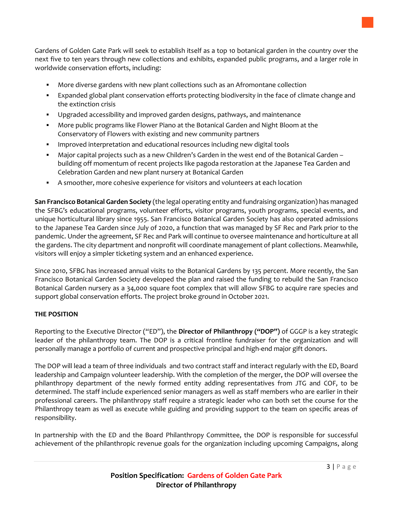

Gardens of Golden Gate Park will seek to establish itself as a top 10 botanical garden in the country over the next five to ten years through new collections and exhibits, expanded public programs, and a larger role in worldwide conservation efforts, including:

- More diverse gardens with new plant collections such as an Afromontane collection
- **•** Expanded global plant conservation efforts protecting biodiversity in the face of climate change and the extinction crisis
- Upgraded accessibility and improved garden designs, pathways, and maintenance
- More public programs like Flower Piano at the Botanical Garden and Night Bloom at the Conservatory of Flowers with existing and new community partners
- Improved interpretation and educational resources including new digital tools
- Major capital projects such as a new Children's Garden in the west end of the Botanical Garden building off momentum of recent projects like pagoda restoration at the Japanese Tea Garden and Celebration Garden and new plant nursery at Botanical Garden
- A smoother, more cohesive experience for visitors and volunteers at each location

**San Francisco Botanical Garden Society** (the legal operating entity and fundraising organization) has managed the SFBG's educational programs, volunteer efforts, visitor programs, youth programs, special events, and unique horticultural library since 1955. San Francisco Botanical Garden Society has also operated admissions to the Japanese Tea Garden since July of 2020, a function that was managed by SF Rec and Park prior to the pandemic. Under the agreement, SF Rec and Park will continue to oversee maintenance and horticulture at all the gardens. The city department and nonprofit will coordinate management of plant collections. Meanwhile, visitors will enjoy a simpler ticketing system and an enhanced experience.

Since 2010, SFBG has increased annual visits to the Botanical Gardens by 135 percent. More recently, the San Francisco Botanical Garden Society developed the plan and raised the funding to rebuild the San Francisco Botanical Garden nursery as a 34,000 square foot complex that will allow SFBG to acquire rare species and support global conservation efforts. The project broke ground in October 2021.

#### **THE POSITION**

Reporting to the Executive Director ("ED"), the **Director of Philanthropy ("DOP")** of GGGP is a key strategic leader of the philanthropy team. The DOP is a critical frontline fundraiser for the organization and will personally manage a portfolio of current and prospective principal and high-end major gift donors.

The DOP will lead a team of three individuals and two contract staff and interact regularly with the ED, Board leadership and Campaign volunteer leadership. With the completion of the merger, the DOP will oversee the philanthropy department of the newly formed entity adding representatives from JTG and COF, to be determined. The staff include experienced senior managers as well as staff members who are earlier in their professional careers. The philanthropy staff require a strategic leader who can both set the course for the Philanthropy team as well as execute while guiding and providing support to the team on specific areas of responsibility.

In partnership with the ED and the Board Philanthropy Committee, the DOP is responsible for successful achievement of the philanthropic revenue goals for the organization including upcoming Campaigns, along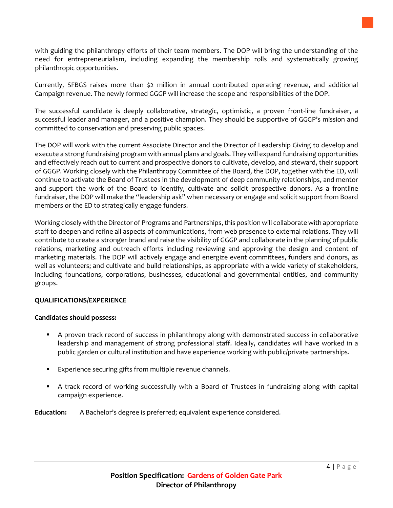with guiding the philanthropy efforts of their team members. The DOP will bring the understanding of the need for entrepreneurialism, including expanding the membership rolls and systematically growing

The successful candidate is deeply collaborative, strategic, optimistic, a proven front-line fundraiser, a successful leader and manager, and a positive champion. They should be supportive of GGGP's mission and committed to conservation and preserving public spaces.

The DOP will work with the current Associate Director and the Director of Leadership Giving to develop and execute a strong fundraising program with annual plans and goals. They will expand fundraising opportunities and effectively reach out to current and prospective donors to cultivate, develop, and steward, their support of GGGP. Working closely with the Philanthropy Committee of the Board, the DOP, together with the ED, will continue to activate the Board of Trustees in the development of deep community relationships, and mentor and support the work of the Board to identify, cultivate and solicit prospective donors. As a frontline fundraiser, the DOP will make the "leadership ask" when necessary or engage and solicit support from Board members or the ED to strategically engage funders.

Working closely with the Director of Programs and Partnerships, this position will collaborate with appropriate staff to deepen and refine all aspects of communications, from web presence to external relations. They will contribute to create a stronger brand and raise the visibility of GGGP and collaborate in the planning of public relations, marketing and outreach efforts including reviewing and approving the design and content of marketing materials. The DOP will actively engage and energize event committees, funders and donors, as well as volunteers; and cultivate and build relationships, as appropriate with a wide variety of stakeholders, including foundations, corporations, businesses, educational and governmental entities, and community groups.

#### **QUALIFICATIONS/EXPERIENCE**

### **Candidates should possess:**

philanthropic opportunities.

- A proven track record of success in philanthropy along with demonstrated success in collaborative leadership and management of strong professional staff. Ideally, candidates will have worked in a public garden or cultural institution and have experience working with public/private partnerships.
- Experience securing gifts from multiple revenue channels.
- **•** A track record of working successfully with a Board of Trustees in fundraising along with capital campaign experience.

**Education:** A Bachelor's degree is preferred; equivalent experience considered.